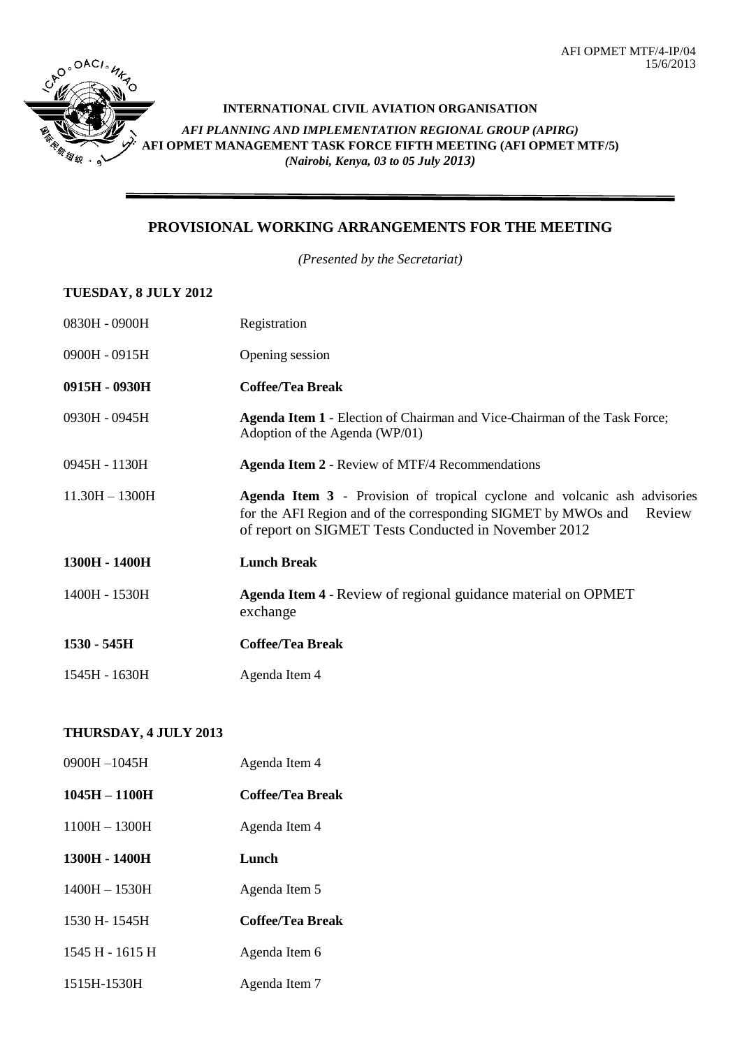

# **INTERNATIONAL CIVIL AVIATION ORGANISATION** *AFI PLANNING AND IMPLEMENTATION REGIONAL GROUP (APIRG)* **AFI OPMET MANAGEMENT TASK FORCE FIFTH MEETING (AFI OPMET MTF/5)** *(Nairobi, Kenya, 03 to 05 July 2013)*

### **PROVISIONAL WORKING ARRANGEMENTS FOR THE MEETING**

*(Presented by the Secretariat)*

#### **TUESDAY, 8 JULY 2012**

| 0830H - 0900H    | Registration                                                                                                                                                                                                         |  |
|------------------|----------------------------------------------------------------------------------------------------------------------------------------------------------------------------------------------------------------------|--|
| 0900H - 0915H    | Opening session                                                                                                                                                                                                      |  |
| 0915H - 0930H    | <b>Coffee/Tea Break</b>                                                                                                                                                                                              |  |
| 0930H - 0945H    | <b>Agenda Item 1 - Election of Chairman and Vice-Chairman of the Task Force;</b><br>Adoption of the Agenda (WP/01)                                                                                                   |  |
| 0945H - 1130H    | <b>Agenda Item 2 - Review of MTF/4 Recommendations</b>                                                                                                                                                               |  |
| $11.30H - 1300H$ | <b>Agenda Item 3</b> - Provision of tropical cyclone and volcanic ash advisories<br>for the AFI Region and of the corresponding SIGMET by MWOs and<br>Review<br>of report on SIGMET Tests Conducted in November 2012 |  |
| 1300H - 1400H    | <b>Lunch Break</b>                                                                                                                                                                                                   |  |
| 1400H - 1530H    | Agenda Item 4 - Review of regional guidance material on OPMET<br>exchange                                                                                                                                            |  |
| 1530 - 545H      | <b>Coffee/Tea Break</b>                                                                                                                                                                                              |  |
| 1545H - 1630H    | Agenda Item 4                                                                                                                                                                                                        |  |

### **THURSDAY, 4 JULY 2013**

| 0900H-1045H     | Agenda Item 4    |
|-----------------|------------------|
| 1045H - 1100H   | Coffee/Tea Break |
| $1100H - 1300H$ | Agenda Item 4    |
| 1300H - 1400H   | Lunch            |
| $1400H - 1530H$ | Agenda Item 5    |
| 1530 H-1545H    | Coffee/Tea Break |
| 1545 H - 1615 H | Agenda Item 6    |
| 1515H-1530H     | Agenda Item 7    |